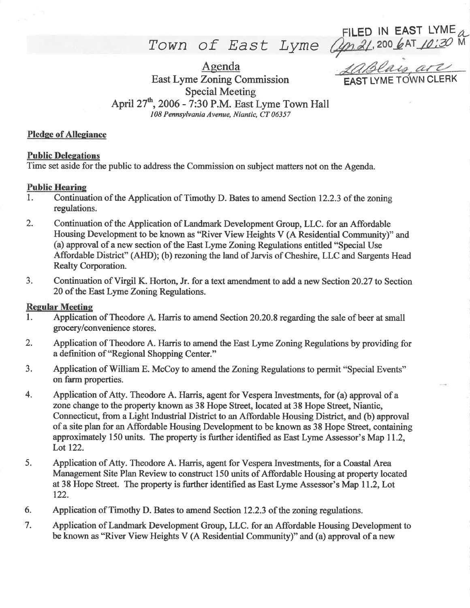ILED IN EAST LYME ,200 6AT 10:30  $\mu$ M

Town of East Lyme

10Blais, are

East Lyme Zoning Commission Special Meeting<br>April 27<sup>th</sup>, 2006 - 7:30 P.M. East Lyme Town Hall 108 Pennsylvania Avenue, Niantic, CT 06357

Agenda

#### Pledge of Allegiance

## **Public Delegations**

Time set aside for the public to address the Commission on subject matters not on the Agenda.

## Public Hearine

- l. Continuation of the Application of Timothy D. Bates to amend Section 12.2.3 of the zoning regulations.
- 2. Continuation of the Application of Landmark Development Group, LLC. for an Affordable Housing Development to be known as "River View Heights V (A Residential Community)" and (a) approval of a new section of the East Lyme ZomngRegulations entitled "Special Use Affordable District" (AHD); (b) rezoning the land of Jarvis of Cheshire, LLC and Sargents Head Realty Corporation.
- 3. Continuation of Virgil K. Horton, Jr. for a text amendment to add a new Section 20.27 to Section 20 of the East Lyme Zoning Regulations.

#### **Regular Meeting**

- 1. Application of Theodore A. Harris to amend Section 20.20.8 regarding the sale of beer at small grocery/convenience stores.
- 2. Application of Theodore A. Harris to amend the East Lyme Zoning Regulations by providing for a definition of "Regional Shopping Center."
- 3. Application of William E. McCoy to amend the Zoning Regulations to permit "Special Events" on farm properties.
- 4. Application of Atty. Theodore A. Harris, agent for Vespera Investments, for (a) approval of <sup>a</sup> zone change to the property known as 38 Hope Street, located at 38 Hope Street, Niantic, Connecticut, from a Light Industrial District to an Affordable Housing District, and (b) approval of a site plan for an Affordable Housing Development to be known as 38 Hope Steet, containing approximately 150 units. The property is further identified as East Lyme Assessor's Map 11.2, Lot 122.
- 5. Application of Atty. Theodore A. Harris, agent for Vespera Investments, for a Coastal Area Management Site Plan Review to construct 150 units of Affordable Housing at property located at 38 Hope Street. The property is further identified as East Lyme Assessor's Map 11.2, Lot 122.
- 6. Application of Timothy D. Bates to amend Section 12.2.3 of the zoning regulations.
- 7. Application of Landmark Development Group, LLC. for an Affordable Housing Development to be known as "River View Heights V (A Residential Community)" and (a) approval of a new